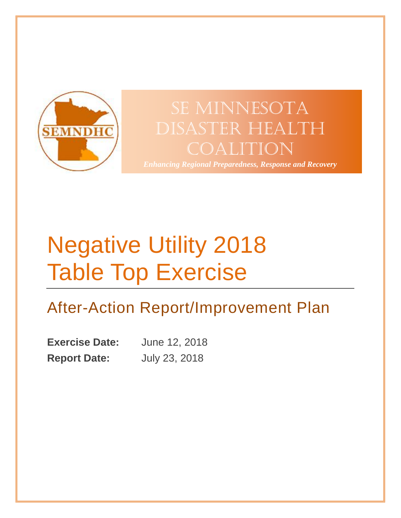

## SE MINNESOTA Disaster Health Coalition

*Enhancing Regional Preparedness, Response and Recovery*

# Negative Utility 2018 Table Top Exercise

## After-Action Report/Improvement Plan

**Exercise Date:** June 12, 2018 **Report Date:** July 23, 2018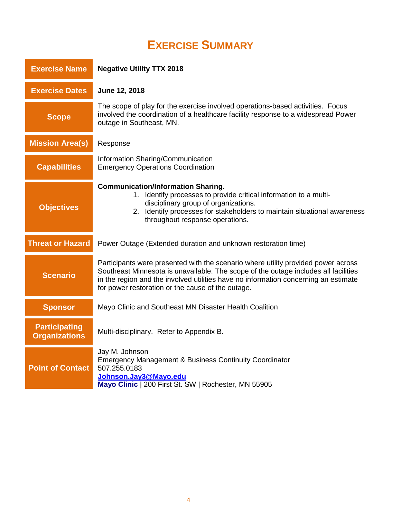## **EXERCISE SUMMARY**

<span id="page-1-0"></span>

| <b>Exercise Name</b>                         | <b>Negative Utility TTX 2018</b>                                                                                                                                                                                                                                                                                     |  |  |  |
|----------------------------------------------|----------------------------------------------------------------------------------------------------------------------------------------------------------------------------------------------------------------------------------------------------------------------------------------------------------------------|--|--|--|
| <b>Exercise Dates</b>                        | June 12, 2018                                                                                                                                                                                                                                                                                                        |  |  |  |
| <b>Scope</b>                                 | The scope of play for the exercise involved operations-based activities. Focus<br>involved the coordination of a healthcare facility response to a widespread Power<br>outage in Southeast, MN.                                                                                                                      |  |  |  |
| <b>Mission Area(s)</b>                       | Response                                                                                                                                                                                                                                                                                                             |  |  |  |
| <b>Capabilities</b>                          | Information Sharing/Communication<br><b>Emergency Operations Coordination</b>                                                                                                                                                                                                                                        |  |  |  |
| <b>Objectives</b>                            | <b>Communication/Information Sharing.</b><br>1. Identify processes to provide critical information to a multi-<br>disciplinary group of organizations.<br>2. Identify processes for stakeholders to maintain situational awareness<br>throughout response operations.                                                |  |  |  |
| <b>Threat or Hazard</b>                      | Power Outage (Extended duration and unknown restoration time)                                                                                                                                                                                                                                                        |  |  |  |
| <b>Scenario</b>                              | Participants were presented with the scenario where utility provided power across<br>Southeast Minnesota is unavailable. The scope of the outage includes all facilities<br>in the region and the involved utilities have no information concerning an estimate<br>for power restoration or the cause of the outage. |  |  |  |
| <b>Sponsor</b>                               | Mayo Clinic and Southeast MN Disaster Health Coalition                                                                                                                                                                                                                                                               |  |  |  |
| <b>Participating</b><br><b>Organizations</b> | Multi-disciplinary. Refer to Appendix B.                                                                                                                                                                                                                                                                             |  |  |  |
| <b>Point of Contact</b>                      | Jay M. Johnson<br><b>Emergency Management &amp; Business Continuity Coordinator</b><br>507.255.0183<br>Johnson.Jay3@Mayo.edu<br>Mayo Clinic   200 First St. SW   Rochester, MN 55905                                                                                                                                 |  |  |  |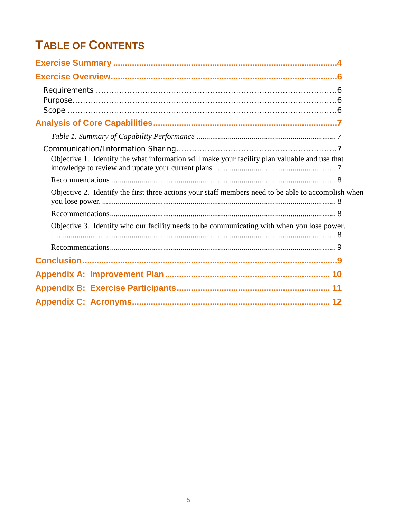## **TABLE OF CONTENTS**

| Objective 1. Identify the what information will make your facility plan valuable and use that       |  |
|-----------------------------------------------------------------------------------------------------|--|
|                                                                                                     |  |
| Objective 2. Identify the first three actions your staff members need to be able to accomplish when |  |
|                                                                                                     |  |
| Objective 3. Identify who our facility needs to be communicating with when you lose power.          |  |
|                                                                                                     |  |
|                                                                                                     |  |
|                                                                                                     |  |
|                                                                                                     |  |
|                                                                                                     |  |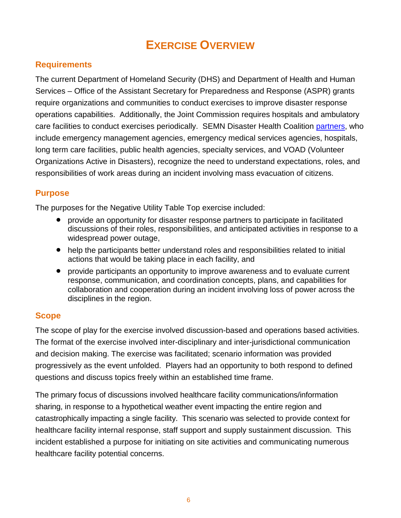## **EXERCISE OVERVIEW**

#### <span id="page-3-1"></span><span id="page-3-0"></span>**Requirements**

The current Department of Homeland Security (DHS) and Department of Health and Human Services – Office of the Assistant Secretary for Preparedness and Response (ASPR) grants require organizations and communities to conduct exercises to improve disaster response operations capabilities. Additionally, the Joint Commission requires hospitals and ambulatory care facilities to conduct exercises periodically. SEMN Disaster Health Coalition [partners,](http://www.semndhc.org/partners/) who include emergency management agencies, emergency medical services agencies, hospitals, long term care facilities, public health agencies, specialty services, and VOAD (Volunteer Organizations Active in Disasters), recognize the need to understand expectations, roles, and responsibilities of work areas during an incident involving mass evacuation of citizens.

#### <span id="page-3-2"></span>**Purpose**

The purposes for the Negative Utility Table Top exercise included:

- provide an opportunity for disaster response partners to participate in facilitated discussions of their roles, responsibilities, and anticipated activities in response to a widespread power outage,
- help the participants better understand roles and responsibilities related to initial actions that would be taking place in each facility, and
- provide participants an opportunity to improve awareness and to evaluate current response, communication, and coordination concepts, plans, and capabilities for collaboration and cooperation during an incident involving loss of power across the disciplines in the region.

#### <span id="page-3-3"></span>**Scope**

The scope of play for the exercise involved discussion-based and operations based activities. The format of the exercise involved inter-disciplinary and inter-jurisdictional communication and decision making. The exercise was facilitated; scenario information was provided progressively as the event unfolded. Players had an opportunity to both respond to defined questions and discuss topics freely within an established time frame.

The primary focus of discussions involved healthcare facility communications/information sharing, in response to a hypothetical weather event impacting the entire region and catastrophically impacting a single facility. This scenario was selected to provide context for healthcare facility internal response, staff support and supply sustainment discussion. This incident established a purpose for initiating on site activities and communicating numerous healthcare facility potential concerns.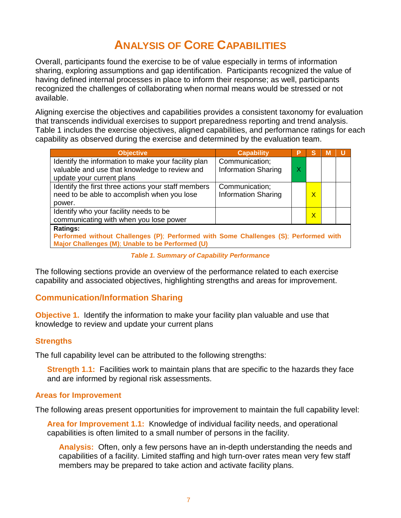## **ANALYSIS OF CORE CAPABILITIES**

<span id="page-4-0"></span>Overall, participants found the exercise to be of value especially in terms of information sharing, exploring assumptions and gap identification. Participants recognized the value of having defined internal processes in place to inform their response; as well, participants recognized the challenges of collaborating when normal means would be stressed or not available.

Aligning exercise the objectives and capabilities provides a consistent taxonomy for evaluation that transcends individual exercises to support preparedness reporting and trend analysis. Table 1 includes the exercise objectives, aligned capabilities, and performance ratings for each capability as observed during the exercise and determined by the evaluation team.

| <b>Objective</b>                                                                     | <b>Capability</b>          | P                       | S            | М |  |
|--------------------------------------------------------------------------------------|----------------------------|-------------------------|--------------|---|--|
| Identify the information to make your facility plan                                  | Communication;             |                         |              |   |  |
| valuable and use that knowledge to review and                                        | <b>Information Sharing</b> | $\overline{\mathsf{X}}$ |              |   |  |
| update your current plans                                                            |                            |                         |              |   |  |
| Identify the first three actions your staff members                                  | Communication;             |                         |              |   |  |
| need to be able to accomplish when you lose                                          | <b>Information Sharing</b> |                         | $\mathsf{X}$ |   |  |
| power.                                                                               |                            |                         |              |   |  |
| Identify who your facility needs to be                                               |                            |                         | $\mathsf{x}$ |   |  |
| communicating with when you lose power                                               |                            |                         |              |   |  |
| <b>Ratings:</b>                                                                      |                            |                         |              |   |  |
| Performed without Challenges (P); Performed with Some Challenges (S); Performed with |                            |                         |              |   |  |
| Major Challenges (M); Unable to be Performed (U)                                     |                            |                         |              |   |  |

*Table 1. Summary of Capability Performance*

<span id="page-4-1"></span>The following sections provide an overview of the performance related to each exercise capability and associated objectives, highlighting strengths and areas for improvement.

#### <span id="page-4-2"></span>**Communication/Information Sharing**

<span id="page-4-3"></span>**Objective 1.** Identify the information to make your facility plan valuable and use that knowledge to review and update your current plans

#### **Strengths**

The full capability level can be attributed to the following strengths:

**Strength 1.1:** Facilities work to maintain plans that are specific to the hazards they face and are informed by regional risk assessments.

#### **Areas for Improvement**

The following areas present opportunities for improvement to maintain the full capability level:

**Area for Improvement 1.1:** Knowledge of individual facility needs, and operational capabilities is often limited to a small number of persons in the facility.

**Analysis:** Often, only a few persons have an in-depth understanding the needs and capabilities of a facility. Limited staffing and high turn-over rates mean very few staff members may be prepared to take action and activate facility plans.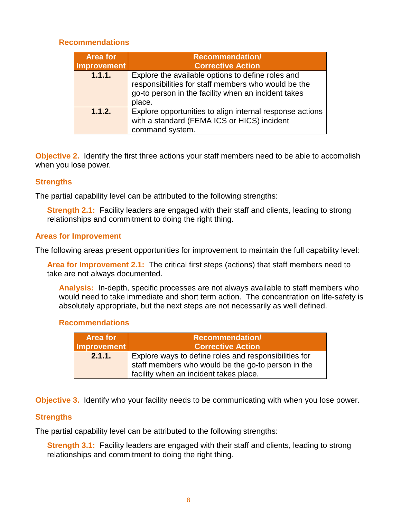#### <span id="page-5-0"></span>**Recommendations**

| <b>Area for</b><br>Improvement | <b>Recommendation/</b><br><b>Corrective Action</b>                                                                                                                        |
|--------------------------------|---------------------------------------------------------------------------------------------------------------------------------------------------------------------------|
| 1.1.1.                         | Explore the available options to define roles and<br>responsibilities for staff members who would be the<br>go-to person in the facility when an incident takes<br>place. |
| 1.1.2.                         | Explore opportunities to align internal response actions<br>with a standard (FEMA ICS or HICS) incident<br>command system.                                                |

<span id="page-5-1"></span>**Objective 2.** Identify the first three actions your staff members need to be able to accomplish when you lose power*.* 

#### **Strengths**

The partial capability level can be attributed to the following strengths:

**Strength 2.1:** Facility leaders are engaged with their staff and clients, leading to strong relationships and commitment to doing the right thing.

#### **Areas for Improvement**

The following areas present opportunities for improvement to maintain the full capability level:

**Area for Improvement 2.1:** The critical first steps (actions) that staff members need to take are not always documented.

**Analysis:** In-depth, specific processes are not always available to staff members who would need to take immediate and short term action. The concentration on life-safety is absolutely appropriate, but the next steps are not necessarily as well defined.

#### <span id="page-5-2"></span>**Recommendations**

| Area for    | <b>Recommendation/</b>                                |
|-------------|-------------------------------------------------------|
| Improvement | <b>Corrective Action</b>                              |
| 2.1.1.      | Explore ways to define roles and responsibilities for |
|             | staff members who would be the go-to person in the    |
|             | facility when an incident takes place.                |

<span id="page-5-3"></span>**Objective 3.** Identify who your facility needs to be communicating with when you lose power.

#### **Strengths**

The partial capability level can be attributed to the following strengths:

**Strength 3.1:** Facility leaders are engaged with their staff and clients, leading to strong relationships and commitment to doing the right thing.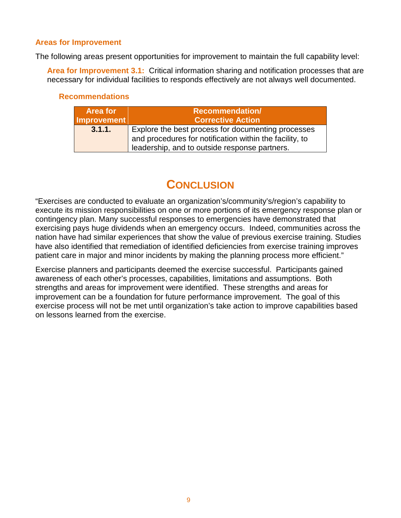#### **Areas for Improvement**

The following areas present opportunities for improvement to maintain the full capability level:

**Area for Improvement 3.1:** Critical information sharing and notification processes that are necessary for individual facilities to responds effectively are not always well documented.

#### <span id="page-6-0"></span>**Recommendations**

| <b>Area for</b> | <b>Recommendation/</b>                                                                                                                                         |
|-----------------|----------------------------------------------------------------------------------------------------------------------------------------------------------------|
| Improvement     | <b>Corrective Action</b>                                                                                                                                       |
| 3.1.1.          | Explore the best process for documenting processes<br>and procedures for notification within the facility, to<br>leadership, and to outside response partners. |

### **CONCLUSION**

<span id="page-6-1"></span>"Exercises are conducted to evaluate an organization's/community's/region's capability to execute its mission responsibilities on one or more portions of its emergency response plan or contingency plan. Many successful responses to emergencies have demonstrated that exercising pays huge dividends when an emergency occurs. Indeed, communities across the nation have had similar experiences that show the value of previous exercise training. Studies have also identified that remediation of identified deficiencies from exercise training improves patient care in major and minor incidents by making the planning process more efficient."

Exercise planners and participants deemed the exercise successful. Participants gained awareness of each other's processes, capabilities, limitations and assumptions. Both strengths and areas for improvement were identified. These strengths and areas for improvement can be a foundation for future performance improvement. The goal of this exercise process will not be met until organization's take action to improve capabilities based on lessons learned from the exercise.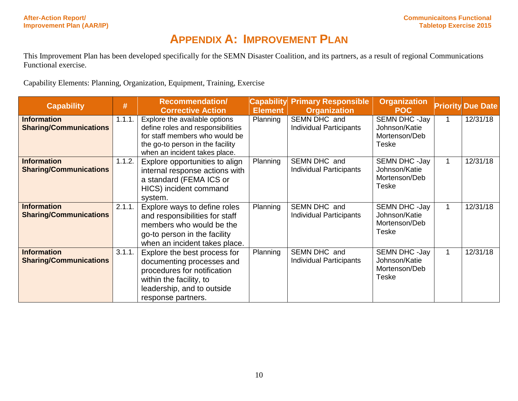### **APPENDIX A: IMPROVEMENT PLAN**

This Improvement Plan has been developed specifically for the SEMN Disaster Coalition, and its partners, as a result of regional Communications Functional exercise.

Capability Elements: Planning, Organization, Equipment, Training, Exercise

<span id="page-7-0"></span>

| <b>Capability</b>             | #      | <b>Recommendation/</b><br><b>Corrective Action</b> | <b>Element</b> | <b>Capability Primary Responsible</b><br><b>Organization</b> | <b>Organization</b><br><b>POC</b> |              | <b>Priority Due Date</b> |
|-------------------------------|--------|----------------------------------------------------|----------------|--------------------------------------------------------------|-----------------------------------|--------------|--------------------------|
| <b>Information</b>            | 1.1.1. | Explore the available options                      | Planning       | SEMN DHC and                                                 | SEMN DHC -Jay                     | $\mathbf 1$  | 12/31/18                 |
| <b>Sharing/Communications</b> |        | define roles and responsibilities                  |                | <b>Individual Participants</b>                               | Johnson/Katie                     |              |                          |
|                               |        | for staff members who would be                     |                |                                                              | Mortenson/Deb                     |              |                          |
|                               |        | the go-to person in the facility                   |                |                                                              | Teske                             |              |                          |
|                               |        | when an incident takes place.                      |                |                                                              |                                   |              |                          |
| <b>Information</b>            | 1.1.2. | Explore opportunities to align                     | Planning       | SEMN DHC and                                                 | SEMN DHC -Jay<br>Johnson/Katie    | $\mathbf{1}$ | 12/31/18                 |
| <b>Sharing/Communications</b> |        | internal response actions with                     |                | Individual Participants                                      | Mortenson/Deb                     |              |                          |
|                               |        | a standard (FEMA ICS or                            |                |                                                              | <b>Teske</b>                      |              |                          |
|                               |        | HICS) incident command                             |                |                                                              |                                   |              |                          |
|                               |        | system.                                            |                |                                                              |                                   |              |                          |
| <b>Information</b>            | 2.1.1. | Explore ways to define roles                       | Planning       | SEMN DHC and                                                 | SEMN DHC -Jay                     | $\mathbf{1}$ | 12/31/18                 |
| <b>Sharing/Communications</b> |        | and responsibilities for staff                     |                | Individual Participants                                      | Johnson/Katie                     |              |                          |
|                               |        | members who would be the                           |                |                                                              | Mortenson/Deb                     |              |                          |
|                               |        | go-to person in the facility                       |                |                                                              | <b>Teske</b>                      |              |                          |
|                               |        | when an incident takes place.                      |                |                                                              |                                   |              |                          |
| <b>Information</b>            | 3.1.1. | Explore the best process for                       | Planning       | SEMN DHC and                                                 | SEMN DHC -Jay                     | $\mathbf{1}$ | 12/31/18                 |
| <b>Sharing/Communications</b> |        | documenting processes and                          |                | Individual Participants                                      | Johnson/Katie                     |              |                          |
|                               |        | procedures for notification                        |                |                                                              | Mortenson/Deb                     |              |                          |
|                               |        | within the facility, to                            |                |                                                              | <b>Teske</b>                      |              |                          |
|                               |        | leadership, and to outside                         |                |                                                              |                                   |              |                          |
|                               |        | response partners.                                 |                |                                                              |                                   |              |                          |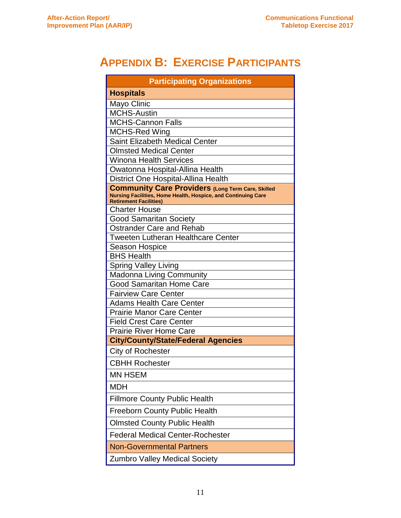## <span id="page-8-0"></span>**APPENDIX B: EXERCISE PARTICIPANTS**

| <b>Participating Organizations</b>                                                                                        |  |  |  |  |
|---------------------------------------------------------------------------------------------------------------------------|--|--|--|--|
| <b>Hospitals</b>                                                                                                          |  |  |  |  |
| Mayo Clinic                                                                                                               |  |  |  |  |
| <b>MCHS-Austin</b>                                                                                                        |  |  |  |  |
| <b>MCHS-Cannon Falls</b>                                                                                                  |  |  |  |  |
| <b>MCHS-Red Wing</b>                                                                                                      |  |  |  |  |
| <b>Saint Elizabeth Medical Center</b>                                                                                     |  |  |  |  |
| <b>Olmsted Medical Center</b>                                                                                             |  |  |  |  |
| <b>Winona Health Services</b>                                                                                             |  |  |  |  |
| Owatonna Hospital-Allina Health                                                                                           |  |  |  |  |
| District One Hospital-Allina Health                                                                                       |  |  |  |  |
| <b>Community Care Providers (Long Term Care, Skilled</b><br>Nursing Facilities, Home Health, Hospice, and Continuing Care |  |  |  |  |
| <b>Retirement Facilities)</b>                                                                                             |  |  |  |  |
| <b>Charter House</b>                                                                                                      |  |  |  |  |
| <b>Good Samaritan Society</b>                                                                                             |  |  |  |  |
| <b>Ostrander Care and Rehab</b>                                                                                           |  |  |  |  |
| <b>Tweeten Lutheran Healthcare Center</b>                                                                                 |  |  |  |  |
| Season Hospice                                                                                                            |  |  |  |  |
| <b>BHS Health</b>                                                                                                         |  |  |  |  |
| <b>Spring Valley Living</b>                                                                                               |  |  |  |  |
| Madonna Living Community<br><b>Good Samaritan Home Care</b>                                                               |  |  |  |  |
| <b>Fairview Care Center</b>                                                                                               |  |  |  |  |
| <b>Adams Health Care Center</b>                                                                                           |  |  |  |  |
| <b>Prairie Manor Care Center</b>                                                                                          |  |  |  |  |
| <b>Field Crest Care Center</b>                                                                                            |  |  |  |  |
| <b>Prairie River Home Care</b>                                                                                            |  |  |  |  |
| <b>City/County/State/Federal Agencies</b>                                                                                 |  |  |  |  |
| City of Rochester                                                                                                         |  |  |  |  |
| <b>CBHH Rochester</b>                                                                                                     |  |  |  |  |
| <b>MN HSEM</b>                                                                                                            |  |  |  |  |
| <b>MDH</b>                                                                                                                |  |  |  |  |
| <b>Fillmore County Public Health</b>                                                                                      |  |  |  |  |
| <b>Freeborn County Public Health</b>                                                                                      |  |  |  |  |
| <b>Olmsted County Public Health</b>                                                                                       |  |  |  |  |
| <b>Federal Medical Center-Rochester</b>                                                                                   |  |  |  |  |
| <b>Non-Governmental Partners</b>                                                                                          |  |  |  |  |
| <b>Zumbro Valley Medical Society</b>                                                                                      |  |  |  |  |